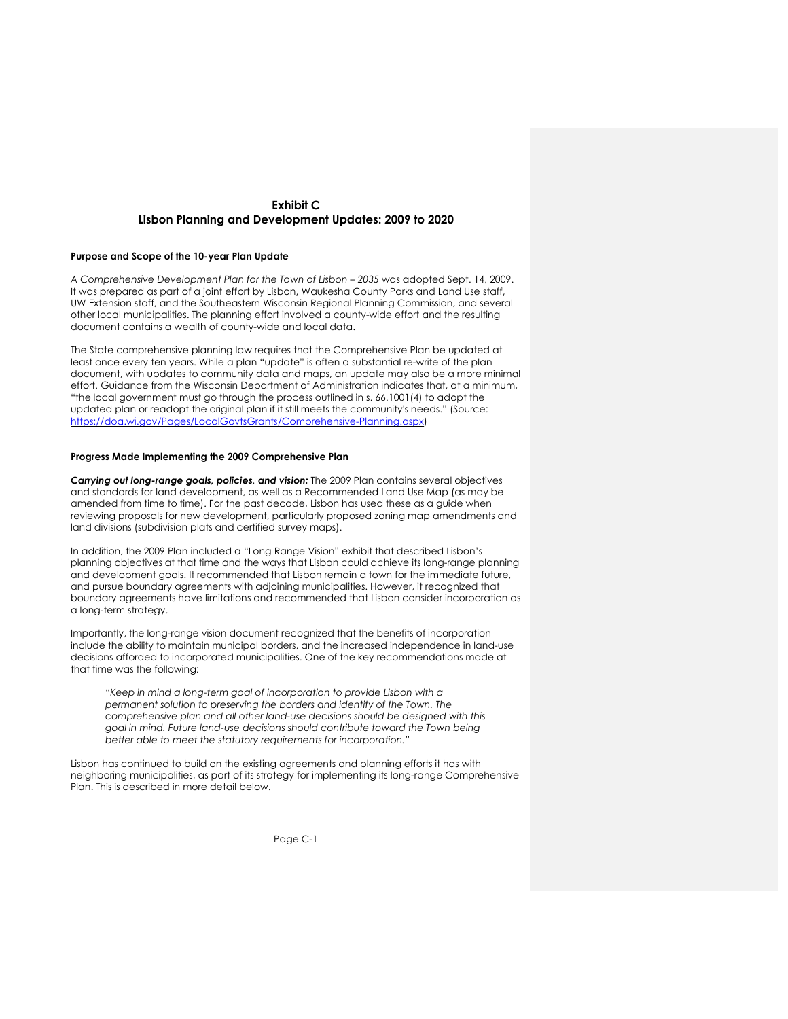# **Exhibit C Lisbon Planning and Development Updates: 2009 to 2020**

## **Purpose and Scope of the 10-year Plan Update**

*A Comprehensive Development Plan for the Town of Lisbon – 2035* was adopted Sept. 14, 2009. It was prepared as part of a joint effort by Lisbon, Waukesha County Parks and Land Use staff, UW Extension staff, and the Southeastern Wisconsin Regional Planning Commission, and several other local municipalities. The planning effort involved a county-wide effort and the resulting document contains a wealth of county-wide and local data.

The State comprehensive planning law requires that the Comprehensive Plan be updated at least once every ten years. While a plan "update" is often a substantial re-write of the plan document, with updates to community data and maps, an update may also be a more minimal effort. Guidance from the Wisconsin Department of Administration indicates that, at a minimum, "the local government must go through the process outlined in s. 66.1001(4) to adopt the updated plan or readopt the original plan if it still meets the community's needs." (Source: https://doa.wi.gov/Pages/LocalGovtsGrants/Comprehensive-Planning.aspx)

### **Progress Made Implementing the 2009 Comprehensive Plan**

*Carrying out long-range goals, policies, and vision:* The 2009 Plan contains several objectives and standards for land development, as well as a Recommended Land Use Map (as may be amended from time to time). For the past decade, Lisbon has used these as a guide when reviewing proposals for new development, particularly proposed zoning map amendments and land divisions (subdivision plats and certified survey maps).

In addition, the 2009 Plan included a "Long Range Vision" exhibit that described Lisbon's planning objectives at that time and the ways that Lisbon could achieve its long-range planning and development goals. It recommended that Lisbon remain a town for the immediate future, and pursue boundary agreements with adjoining municipalities. However, it recognized that boundary agreements have limitations and recommended that Lisbon consider incorporation as a long-term strategy.

Importantly, the long-range vision document recognized that the benefits of incorporation include the ability to maintain municipal borders, and the increased independence in land-use decisions afforded to incorporated municipalities. One of the key recommendations made at that time was the following:

*"Keep in mind a long-term goal of incorporation to provide Lisbon with a permanent solution to preserving the borders and identity of the Town. The comprehensive plan and all other land-use decisions should be designed with this goal in mind. Future land-use decisions should contribute toward the Town being better able to meet the statutory requirements for incorporation."* 

Lisbon has continued to build on the existing agreements and planning efforts it has with neighboring municipalities, as part of its strategy for implementing its long-range Comprehensive Plan. This is described in more detail below.

Page C-1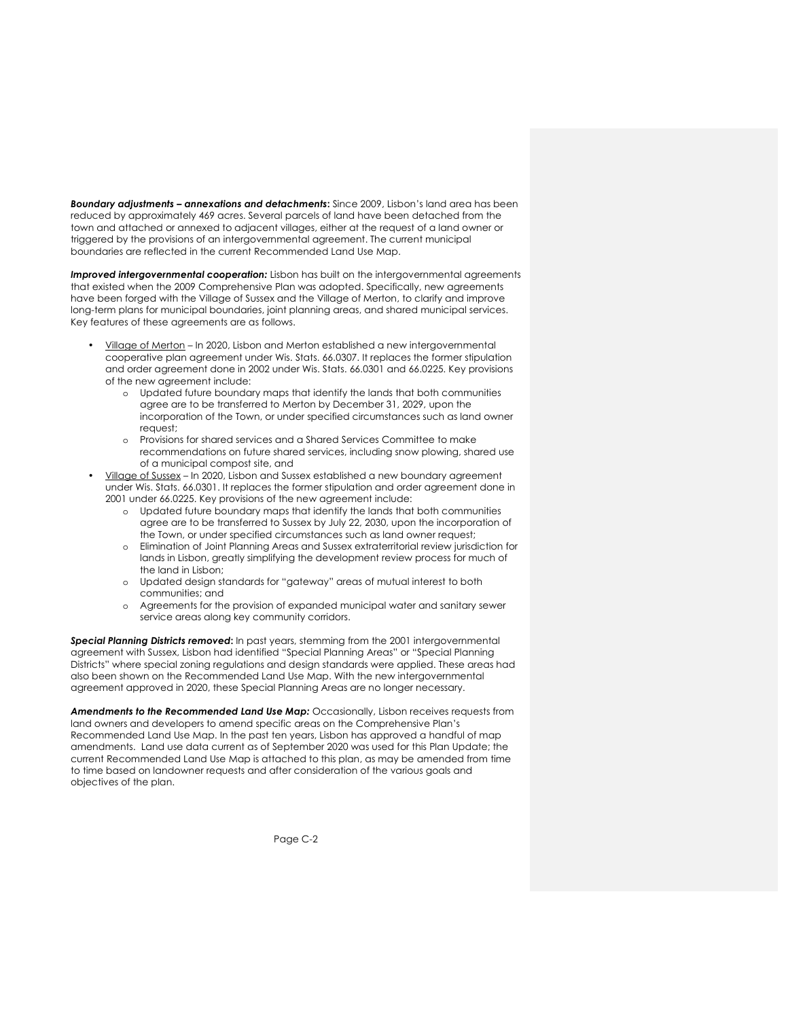*Boundary adjustments – annexations and detachments***:** Since 2009, Lisbon's land area has been reduced by approximately 469 acres. Several parcels of land have been detached from the town and attached or annexed to adjacent villages, either at the request of a land owner or triggered by the provisions of an intergovernmental agreement. The current municipal boundaries are reflected in the current Recommended Land Use Map.

**Improved intergovernmental cooperation:** Lisbon has built on the intergovernmental agreements that existed when the 2009 Comprehensive Plan was adopted. Specifically, new agreements have been forged with the Village of Sussex and the Village of Merton, to clarify and improve long-term plans for municipal boundaries, joint planning areas, and shared municipal services. Key features of these agreements are as follows.

- Village of Merton In 2020, Lisbon and Merton established a new intergovernmental cooperative plan agreement under Wis. Stats. 66.0307. It replaces the former stipulation and order agreement done in 2002 under Wis. Stats. 66.0301 and 66.0225. Key provisions of the new agreement include:
	- o Updated future boundary maps that identify the lands that both communities agree are to be transferred to Merton by December 31, 2029, upon the incorporation of the Town, or under specified circumstances such as land owner request;
	- o Provisions for shared services and a Shared Services Committee to make recommendations on future shared services, including snow plowing, shared use of a municipal compost site, and
- Village of Sussex In 2020, Lisbon and Sussex established a new boundary agreement under Wis. Stats. 66.0301. It replaces the former stipulation and order agreement done in 2001 under 66.0225. Key provisions of the new agreement include:
	- o Updated future boundary maps that identify the lands that both communities agree are to be transferred to Sussex by July 22, 2030, upon the incorporation of the Town, or under specified circumstances such as land owner request;
	- o Elimination of Joint Planning Areas and Sussex extraterritorial review jurisdiction for lands in Lisbon, greatly simplifying the development review process for much of the land in Lisbon;
	- o Updated design standards for "gateway" areas of mutual interest to both communities; and
	- o Agreements for the provision of expanded municipal water and sanitary sewer service areas along key community corridors.

*Special Planning Districts removed***:** In past years, stemming from the 2001 intergovernmental agreement with Sussex, Lisbon had identified "Special Planning Areas" or "Special Planning Districts" where special zoning regulations and design standards were applied. These areas had also been shown on the Recommended Land Use Map. With the new intergovernmental agreement approved in 2020, these Special Planning Areas are no longer necessary.

*Amendments to the Recommended Land Use Map:* Occasionally, Lisbon receives requests from land owners and developers to amend specific areas on the Comprehensive Plan's Recommended Land Use Map. In the past ten years, Lisbon has approved a handful of map amendments. Land use data current as of September 2020 was used for this Plan Update; the current Recommended Land Use Map is attached to this plan, as may be amended from time to time based on landowner requests and after consideration of the various goals and objectives of the plan.

Page C-2